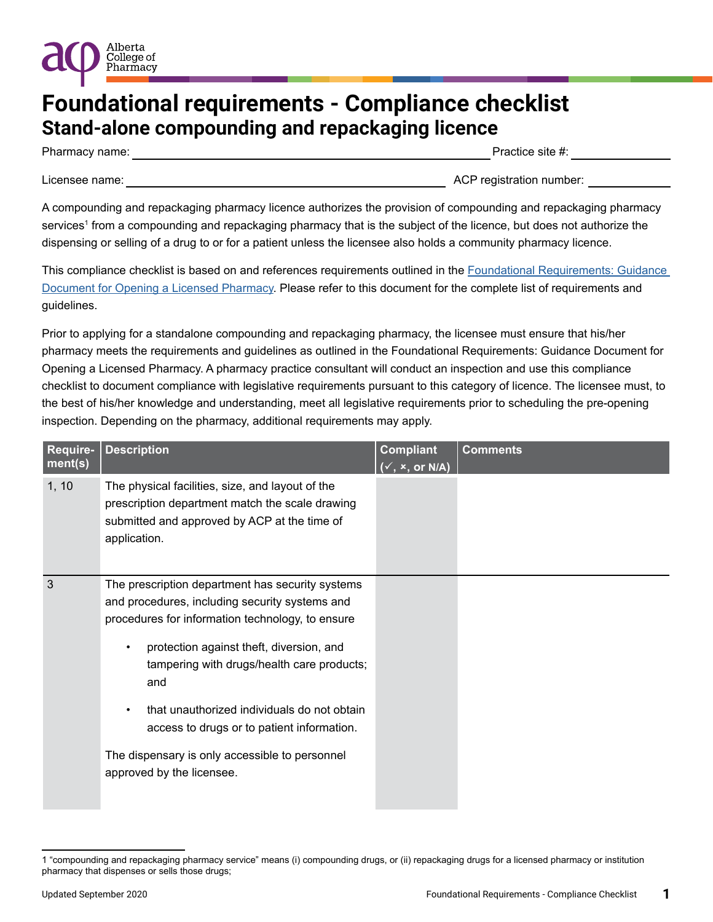

Pharmacy name:  $\blacksquare$  and  $\blacksquare$  and  $\blacksquare$  are  $\blacksquare$  and  $\blacksquare$  are  $\blacksquare$  are  $\blacksquare$  are  $\blacksquare$  are  $\blacksquare$  are  $\blacksquare$  and  $\blacksquare$  are  $\blacksquare$  and  $\blacksquare$  are  $\blacksquare$  and  $\blacksquare$  are  $\blacksquare$  and  $\blacksquare$  are  $\blacksquare$  and  $\blacksquare$  ar

Licensee name: \_\_\_\_\_\_\_\_\_\_\_\_\_\_\_\_\_\_\_\_\_\_\_\_\_\_\_\_\_\_\_\_\_\_\_\_\_\_\_\_\_\_\_\_\_\_\_\_\_\_ ACP registration number: \_\_\_\_\_\_\_\_\_\_\_\_

Alberta College of Pharmacy

A compounding and repackaging pharmacy licence authorizes the provision of compounding and repackaging pharmacy services<sup>1</sup> from a compounding and repackaging pharmacy that is the subject of the licence, but does not authorize the dispensing or selling of a drug to or for a patient unless the licensee also holds a community pharmacy licence.

This compliance checklist is based on and references requirements outlined in the [Foundational Requirements: Guidance](https://abpharmacy.ca/sites/default/files/FoundationalRequirementsGuidanceDocument.pdf)  [Document for Opening a Licensed Pharmacy.](https://abpharmacy.ca/sites/default/files/FoundationalRequirementsGuidanceDocument.pdf) Please refer to this document for the complete list of requirements and guidelines.

Prior to applying for a standalone compounding and repackaging pharmacy, the licensee must ensure that his/her pharmacy meets the requirements and guidelines as outlined in the Foundational Requirements: Guidance Document for Opening a Licensed Pharmacy. A pharmacy practice consultant will conduct an inspection and use this compliance checklist to document compliance with legislative requirements pursuant to this category of licence. The licensee must, to the best of his/her knowledge and understanding, meet all legislative requirements prior to scheduling the pre-opening inspection. Depending on the pharmacy, additional requirements may apply.

| Require-<br>ment(s) | <b>Description</b>                                                                                                                                                                                                                                                                                                                                                                                                                               | <b>Compliant</b><br>$(\overline{\checkmark},\checkmark,\mathsf{or}\;\mathsf{N/A})$ | <b>Comments</b> |
|---------------------|--------------------------------------------------------------------------------------------------------------------------------------------------------------------------------------------------------------------------------------------------------------------------------------------------------------------------------------------------------------------------------------------------------------------------------------------------|------------------------------------------------------------------------------------|-----------------|
| 1, 10               | The physical facilities, size, and layout of the<br>prescription department match the scale drawing<br>submitted and approved by ACP at the time of<br>application.                                                                                                                                                                                                                                                                              |                                                                                    |                 |
| 3                   | The prescription department has security systems<br>and procedures, including security systems and<br>procedures for information technology, to ensure<br>protection against theft, diversion, and<br>$\bullet$<br>tampering with drugs/health care products;<br>and<br>that unauthorized individuals do not obtain<br>access to drugs or to patient information.<br>The dispensary is only accessible to personnel<br>approved by the licensee. |                                                                                    |                 |

<sup>1 &</sup>quot;compounding and repackaging pharmacy service" means (i) compounding drugs, or (ii) repackaging drugs for a licensed pharmacy or institution pharmacy that dispenses or sells those drugs;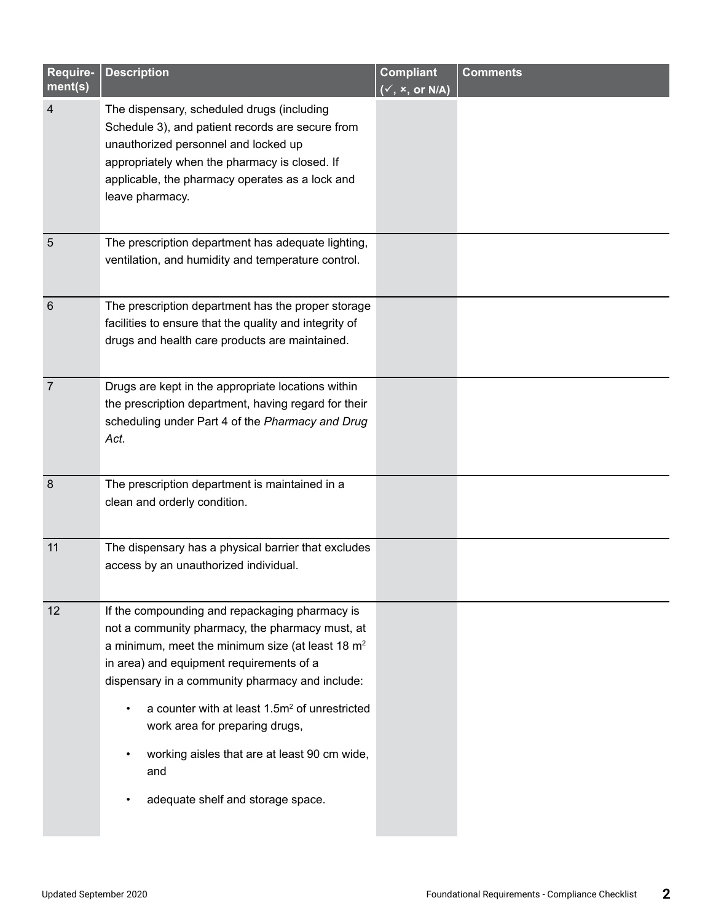| Require-<br>ment(s) | <b>Description</b>                                                                                                                                                                                                                                                                                                                                                                                                                                | <b>Compliant</b><br>$(\checkmark, x, or N/A)$ | <b>Comments</b> |
|---------------------|---------------------------------------------------------------------------------------------------------------------------------------------------------------------------------------------------------------------------------------------------------------------------------------------------------------------------------------------------------------------------------------------------------------------------------------------------|-----------------------------------------------|-----------------|
| $\overline{4}$      | The dispensary, scheduled drugs (including<br>Schedule 3), and patient records are secure from<br>unauthorized personnel and locked up<br>appropriately when the pharmacy is closed. If<br>applicable, the pharmacy operates as a lock and<br>leave pharmacy.                                                                                                                                                                                     |                                               |                 |
| 5                   | The prescription department has adequate lighting,<br>ventilation, and humidity and temperature control.                                                                                                                                                                                                                                                                                                                                          |                                               |                 |
| $6\phantom{1}6$     | The prescription department has the proper storage<br>facilities to ensure that the quality and integrity of<br>drugs and health care products are maintained.                                                                                                                                                                                                                                                                                    |                                               |                 |
| $\overline{7}$      | Drugs are kept in the appropriate locations within<br>the prescription department, having regard for their<br>scheduling under Part 4 of the Pharmacy and Drug<br>Act.                                                                                                                                                                                                                                                                            |                                               |                 |
| 8                   | The prescription department is maintained in a<br>clean and orderly condition.                                                                                                                                                                                                                                                                                                                                                                    |                                               |                 |
| 11                  | The dispensary has a physical barrier that excludes<br>access by an unauthorized individual.                                                                                                                                                                                                                                                                                                                                                      |                                               |                 |
| 12                  | If the compounding and repackaging pharmacy is<br>not a community pharmacy, the pharmacy must, at<br>a minimum, meet the minimum size (at least 18 $m2$<br>in area) and equipment requirements of a<br>dispensary in a community pharmacy and include:<br>a counter with at least 1.5m <sup>2</sup> of unrestricted<br>work area for preparing drugs,<br>working aisles that are at least 90 cm wide,<br>and<br>adequate shelf and storage space. |                                               |                 |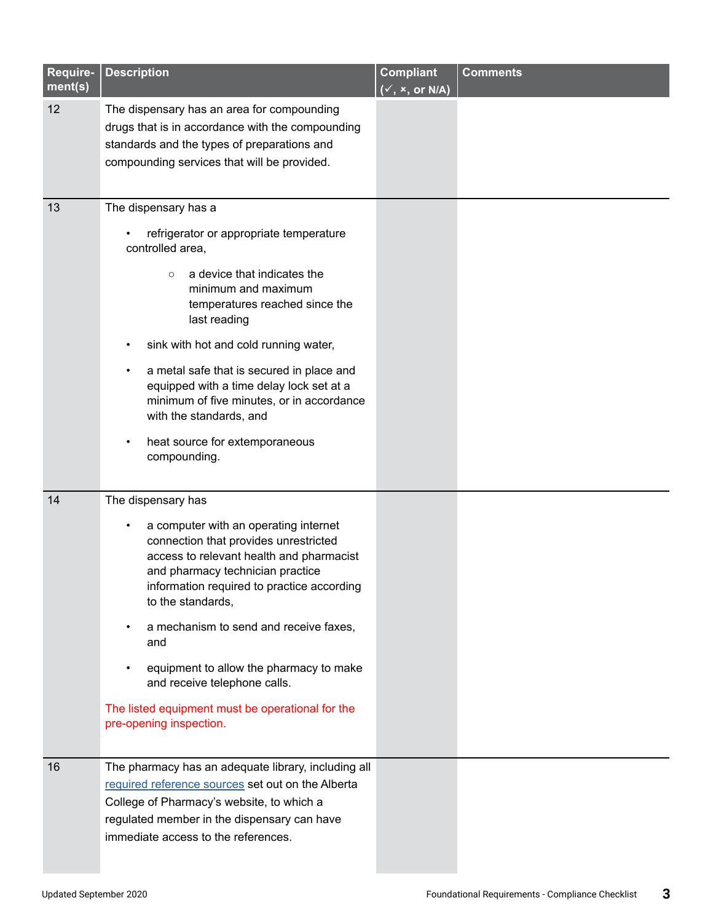| Require-<br>ment(s) | <b>Description</b>                                                                                                                                                                                                                                                                                                                                                                                                                                                 | <b>Compliant</b><br>$(\checkmark, x, or N/A)$ | <b>Comments</b> |
|---------------------|--------------------------------------------------------------------------------------------------------------------------------------------------------------------------------------------------------------------------------------------------------------------------------------------------------------------------------------------------------------------------------------------------------------------------------------------------------------------|-----------------------------------------------|-----------------|
| 12                  | The dispensary has an area for compounding<br>drugs that is in accordance with the compounding<br>standards and the types of preparations and<br>compounding services that will be provided.                                                                                                                                                                                                                                                                       |                                               |                 |
| 13                  | The dispensary has a<br>refrigerator or appropriate temperature<br>controlled area,<br>a device that indicates the<br>$\circ$<br>minimum and maximum<br>temperatures reached since the<br>last reading<br>sink with hot and cold running water,<br>a metal safe that is secured in place and<br>equipped with a time delay lock set at a<br>minimum of five minutes, or in accordance<br>with the standards, and<br>heat source for extemporaneous<br>compounding. |                                               |                 |
| 14                  | The dispensary has<br>a computer with an operating internet<br>connection that provides unrestricted<br>access to relevant health and pharmacist<br>and pharmacy technician practice<br>information required to practice according<br>to the standards,<br>a mechanism to send and receive faxes,<br>and<br>equipment to allow the pharmacy to make<br>and receive telephone calls.<br>The listed equipment must be operational for the<br>pre-opening inspection. |                                               |                 |
| 16                  | The pharmacy has an adequate library, including all<br>required reference sources set out on the Alberta<br>College of Pharmacy's website, to which a<br>regulated member in the dispensary can have<br>immediate access to the references.                                                                                                                                                                                                                        |                                               |                 |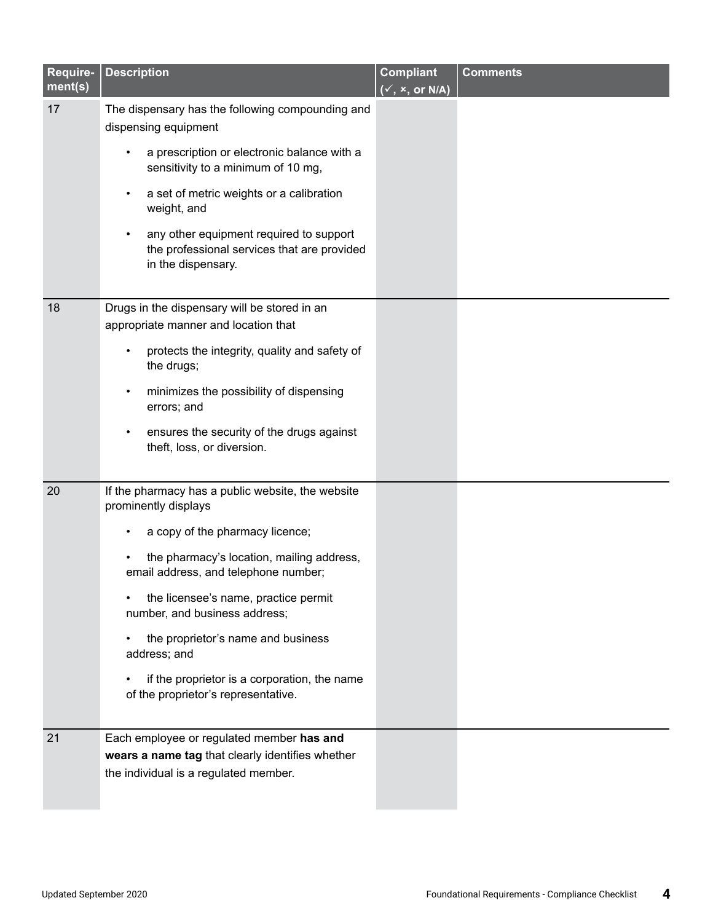| Require-<br>ment(s) | <b>Description</b>                                                                                                                     | <b>Compliant</b><br>$(\checkmark, x, or N/A)$ | <b>Comments</b> |
|---------------------|----------------------------------------------------------------------------------------------------------------------------------------|-----------------------------------------------|-----------------|
| 17                  | The dispensary has the following compounding and<br>dispensing equipment                                                               |                                               |                 |
|                     | a prescription or electronic balance with a<br>sensitivity to a minimum of 10 mg,                                                      |                                               |                 |
|                     | a set of metric weights or a calibration<br>weight, and                                                                                |                                               |                 |
|                     | any other equipment required to support<br>the professional services that are provided<br>in the dispensary.                           |                                               |                 |
| 18                  | Drugs in the dispensary will be stored in an<br>appropriate manner and location that                                                   |                                               |                 |
|                     | protects the integrity, quality and safety of<br>the drugs;                                                                            |                                               |                 |
|                     | minimizes the possibility of dispensing<br>errors; and                                                                                 |                                               |                 |
|                     | ensures the security of the drugs against<br>theft, loss, or diversion.                                                                |                                               |                 |
| 20                  | If the pharmacy has a public website, the website<br>prominently displays                                                              |                                               |                 |
|                     | a copy of the pharmacy licence;                                                                                                        |                                               |                 |
|                     | the pharmacy's location, mailing address,<br>email address, and telephone number;                                                      |                                               |                 |
|                     | the licensee's name, practice permit<br>number, and business address;                                                                  |                                               |                 |
|                     | the proprietor's name and business<br>address; and                                                                                     |                                               |                 |
|                     | if the proprietor is a corporation, the name<br>of the proprietor's representative.                                                    |                                               |                 |
| 21                  | Each employee or regulated member has and<br>wears a name tag that clearly identifies whether<br>the individual is a regulated member. |                                               |                 |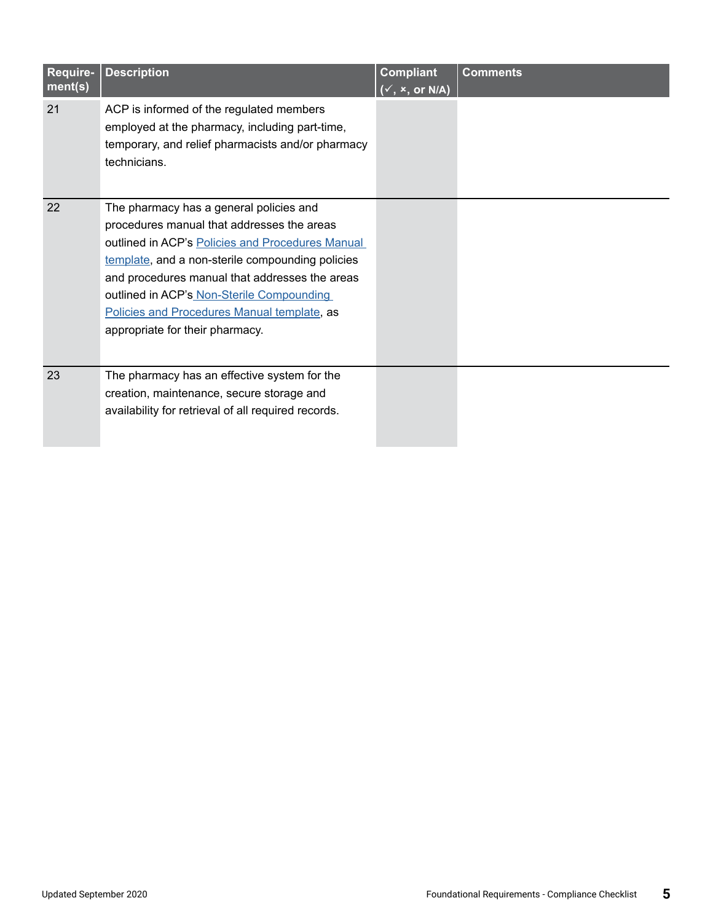| Require-<br>ment(s) | <b>Description</b>                                                                                                                                                                                                                                                                                                                                                             | <b>Compliant</b><br>$(\checkmark, x, or N/A)$ | <b>Comments</b> |
|---------------------|--------------------------------------------------------------------------------------------------------------------------------------------------------------------------------------------------------------------------------------------------------------------------------------------------------------------------------------------------------------------------------|-----------------------------------------------|-----------------|
| 21                  | ACP is informed of the regulated members<br>employed at the pharmacy, including part-time,<br>temporary, and relief pharmacists and/or pharmacy<br>technicians.                                                                                                                                                                                                                |                                               |                 |
| 22                  | The pharmacy has a general policies and<br>procedures manual that addresses the areas<br>outlined in ACP's Policies and Procedures Manual<br>template, and a non-sterile compounding policies<br>and procedures manual that addresses the areas<br>outlined in ACP's Non-Sterile Compounding<br>Policies and Procedures Manual template, as<br>appropriate for their pharmacy. |                                               |                 |
| 23                  | The pharmacy has an effective system for the<br>creation, maintenance, secure storage and<br>availability for retrieval of all required records.                                                                                                                                                                                                                               |                                               |                 |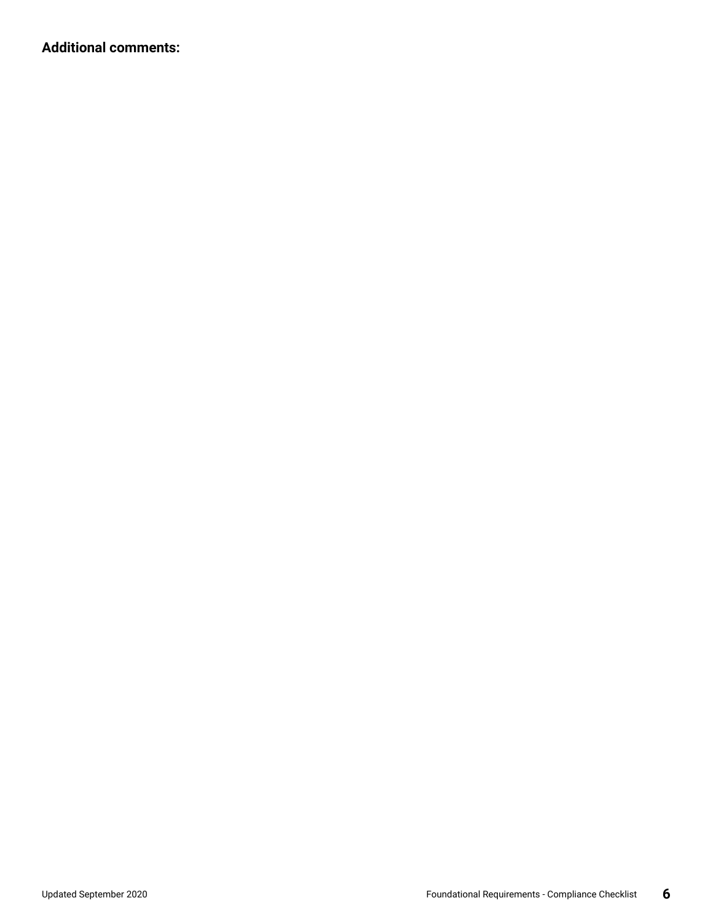**Additional comments:**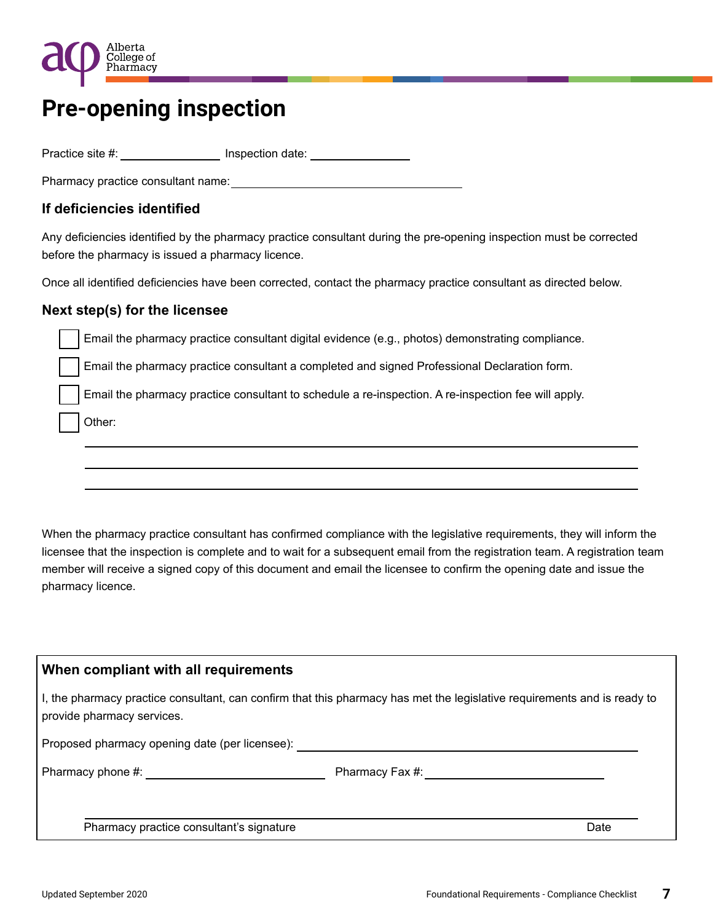

## **Pre-opening inspection**

Practice site #: \_\_\_\_\_\_\_\_\_\_\_\_\_\_\_\_\_\_\_ Inspection date: \_\_\_\_\_\_\_\_\_\_\_\_\_\_\_\_\_\_\_\_\_\_\_\_\_\_

Pharmacy practice consultant name:

### **If deficiencies identified**

Any deficiencies identified by the pharmacy practice consultant during the pre-opening inspection must be corrected before the pharmacy is issued a pharmacy licence.

Once all identified deficiencies have been corrected, contact the pharmacy practice consultant as directed below.

#### **Next step(s) for the licensee**

Email the pharmacy practice consultant digital evidence (e.g., photos) demonstrating compliance.

Email the pharmacy practice consultant a completed and signed Professional Declaration form.

Email the pharmacy practice consultant to schedule a re-inspection. A re-inspection fee will apply.

Other:

When the pharmacy practice consultant has confirmed compliance with the legislative requirements, they will inform the licensee that the inspection is complete and to wait for a subsequent email from the registration team. A registration team member will receive a signed copy of this document and email the licensee to confirm the opening date and issue the pharmacy licence.

#### **When compliant with all requirements**

I, the pharmacy practice consultant, can confirm that this pharmacy has met the legislative requirements and is ready to provide pharmacy services.

Proposed pharmacy opening date (per licensee):

Pharmacy phone #: example and the pharmacy Fax #:

Pharmacy practice consultant's signature Date